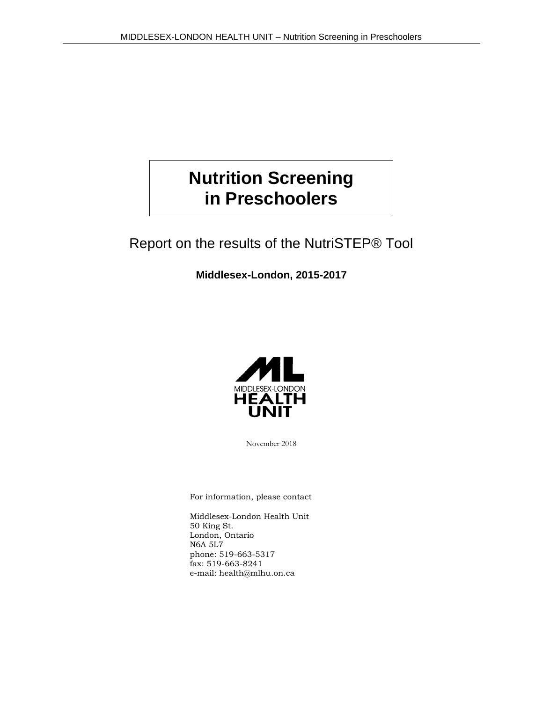# **Nutrition Screening in Preschoolers**

## Report on the results of the NutriSTEP® Tool

**Middlesex-London, 2015-2017**



November 2018

For information, please contact

Middlesex-London Health Unit 50 King St. London, Ontario N6A 5L7 phone: 519-663-5317 fax: 519-663-8241 e-mail: health@mlhu.on.ca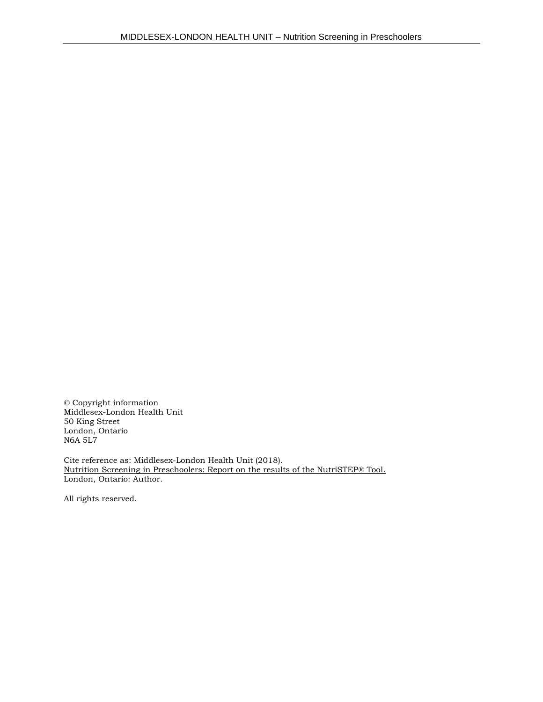© Copyright information Middlesex-London Health Unit 50 King Street London, Ontario N6A 5L7

Cite reference as: Middlesex-London Health Unit (2018). Nutrition Screening in Preschoolers: Report on the results of the NutriSTEP® Tool. London, Ontario: Author.

All rights reserved.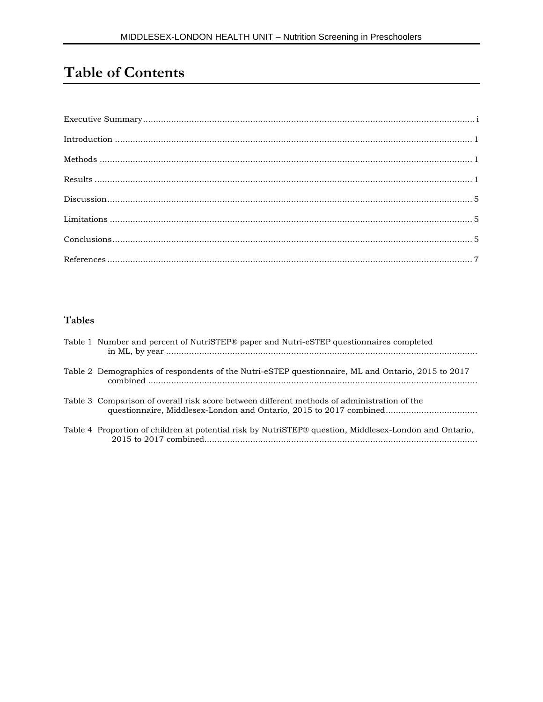# **Table of Contents**

#### **Tables**

| Table 1 Number and percent of NutriSTEP® paper and Nutri-eSTEP questionnaires completed                                                                           |
|-------------------------------------------------------------------------------------------------------------------------------------------------------------------|
| Table 2 Demographics of respondents of the Nutri-eSTEP questionnaire, ML and Ontario, 2015 to 2017                                                                |
| Table 3 Comparison of overall risk score between different methods of administration of the<br>questionnaire, Middlesex-London and Ontario, 2015 to 2017 combined |
| Table 4 Proportion of children at potential risk by NutriSTEP® question, Middlesex-London and Ontario,                                                            |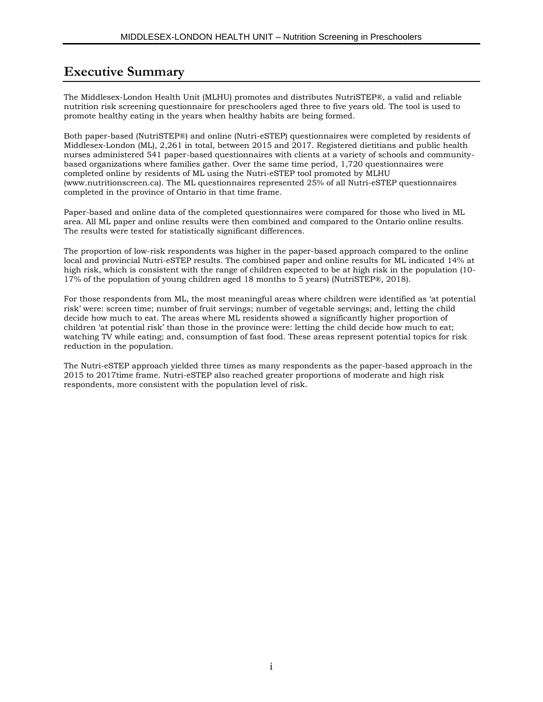### **Executive Summary**

The Middlesex-London Health Unit (MLHU) promotes and distributes NutriSTEP®, a valid and reliable nutrition risk screening questionnaire for preschoolers aged three to five years old. The tool is used to promote healthy eating in the years when healthy habits are being formed.

Both paper-based (NutriSTEP®) and online (Nutri-eSTEP) questionnaires were completed by residents of Middlesex-London (ML), 2,261 in total, between 2015 and 2017. Registered dietitians and public health nurses administered 541 paper-based questionnaires with clients at a variety of schools and communitybased organizations where families gather. Over the same time period, 1,720 questionnaires were completed online by residents of ML using the Nutri-eSTEP tool promoted by MLHU [\(www.nutritionscreen.ca\).](http://www.nutritionscreen.ca/) The ML questionnaires represented 25% of all Nutri-eSTEP questionnaires completed in the province of Ontario in that time frame.

Paper-based and online data of the completed questionnaires were compared for those who lived in ML area. All ML paper and online results were then combined and compared to the Ontario online results. The results were tested for statistically significant differences.

The proportion of low-risk respondents was higher in the paper-based approach compared to the online local and provincial Nutri-eSTEP results. The combined paper and online results for ML indicated 14% at high risk, which is consistent with the range of children expected to be at high risk in the population (10-17% of the population of young children aged 18 months to 5 years) (NutriSTEP®, 2018).

For those respondents from ML, the most meaningful areas where children were identified as 'at potential risk' were: screen time; number of fruit servings; number of vegetable servings; and, letting the child decide how much to eat. The areas where ML residents showed a significantly higher proportion of children 'at potential risk' than those in the province were: letting the child decide how much to eat; watching TV while eating; and, consumption of fast food. These areas represent potential topics for risk reduction in the population.

The Nutri-eSTEP approach yielded three times as many respondents as the paper-based approach in the 2015 to 2017time frame. Nutri-eSTEP also reached greater proportions of moderate and high risk respondents, more consistent with the population level of risk.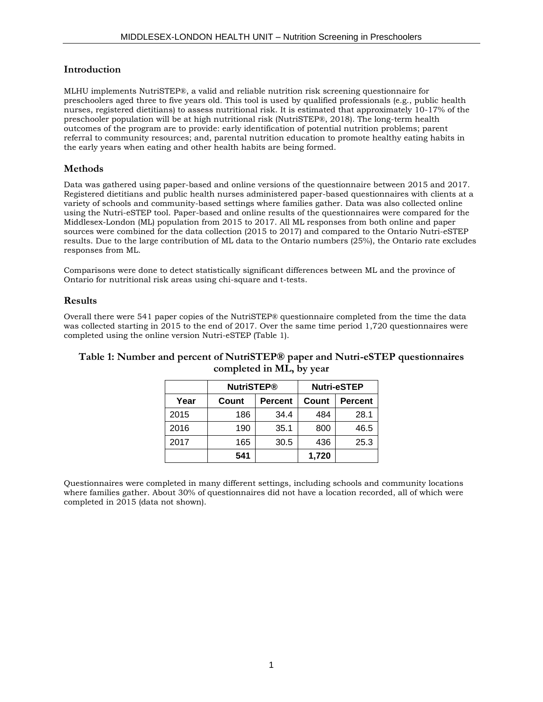#### **Introduction**

MLHU implements NutriSTEP®, a valid and reliable nutrition risk screening questionnaire for preschoolers aged three to five years old. This tool is used by qualified professionals (e.g., public health nurses, registered dietitians) to assess nutritional risk. It is estimated that approximately 10-17% of the preschooler population will be at high nutritional risk (NutriSTEP®, 2018). The long-term health outcomes of the program are to provide: early identification of potential nutrition problems; parent referral to community resources; and, parental nutrition education to promote healthy eating habits in the early years when eating and other health habits are being formed.

#### **Methods**

Data was gathered using paper-based and online versions of the questionnaire between 2015 and 2017. Registered dietitians and public health nurses administered paper-based questionnaires with clients at a variety of schools and community-based settings where families gather. Data was also collected online using the Nutri-eSTEP tool. Paper-based and online results of the questionnaires were compared for the Middlesex-London (ML) population from 2015 to 2017. All ML responses from both online and paper sources were combined for the data collection (2015 to 2017) and compared to the Ontario Nutri-eSTEP results. Due to the large contribution of ML data to the Ontario numbers (25%), the Ontario rate excludes responses from ML.

Comparisons were done to detect statistically significant differences between ML and the province of Ontario for nutritional risk areas using chi-square and t-tests.

#### **Results**

Overall there were 541 paper copies of the NutriSTEP® questionnaire completed from the time the data was collected starting in 2015 to the end of 2017. Over the same time period 1,720 questionnaires were completed using the online version Nutri-eSTEP (Table 1).

#### **Table 1: Number and percent of NutriSTEP® paper and Nutri-eSTEP questionnaires completed in ML, by year**

|      | <b>NutriSTEP®</b>       |      | <b>Nutri-eSTEP</b> |                |  |
|------|-------------------------|------|--------------------|----------------|--|
| Year | Count<br><b>Percent</b> |      | Count              | <b>Percent</b> |  |
| 2015 | 186                     | 34.4 | 484                | 28.1           |  |
| 2016 | 190                     | 35.1 | 800                | 46.5           |  |
| 2017 | 165                     | 30.5 | 436                | 25.3           |  |
|      | 541                     |      | 1,720              |                |  |

Questionnaires were completed in many different settings, including schools and community locations where families gather. About 30% of questionnaires did not have a location recorded, all of which were completed in 2015 (data not shown).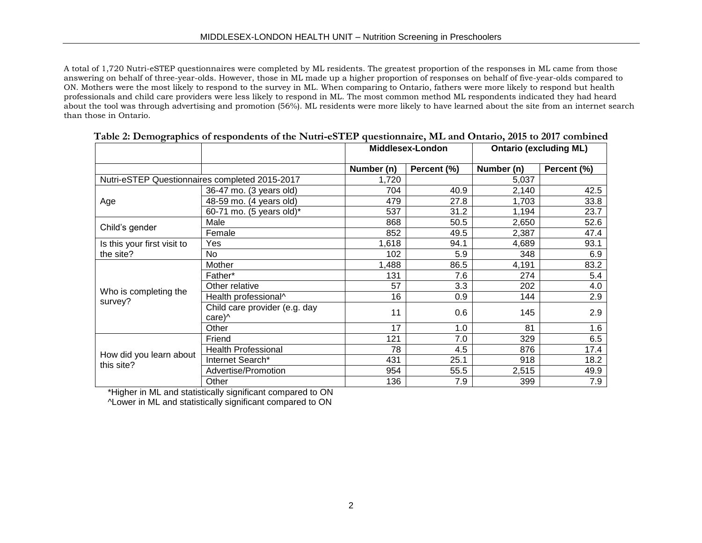A total of 1,720 Nutri-eSTEP questionnaires were completed by ML residents. The greatest proportion of the responses in ML came from those answering on behalf of three-year-olds. However, those in ML made up a higher proportion of responses on behalf of five-year-olds compared to ON. Mothers were the most likely to respond to the survey in ML. When comparing to Ontario, fathers were more likely to respond but health professionals and child care providers were less likely to respond in ML. The most common method ML respondents indicated they had heard about the tool was through advertising and promotion (56%). ML residents were more likely to have learned about the site from an internet search than those in Ontario.

|                                                |                                        | <b>Middlesex-London</b> |             | <b>Ontario (excluding ML)</b> |             |
|------------------------------------------------|----------------------------------------|-------------------------|-------------|-------------------------------|-------------|
|                                                |                                        | Number (n)              | Percent (%) | Number (n)                    | Percent (%) |
| Nutri-eSTEP Questionnaires completed 2015-2017 |                                        | 1,720                   | 5,037       |                               |             |
|                                                | 36-47 mo. (3 years old)                | 704                     | 40.9        | 2,140                         | 42.5        |
| Age                                            | 48-59 mo. (4 years old)                | 479                     | 27.8        | 1,703                         | 33.8        |
|                                                | 60-71 mo. (5 years old)*               | 537                     | 31.2        | 1,194                         | 23.7        |
|                                                | Male                                   | 868                     | 50.5        | 2,650                         | 52.6        |
| Child's gender                                 | Female                                 | 852                     | 49.5        | 2,387                         | 47.4        |
| Is this your first visit to                    | Yes                                    | 1,618                   | 94.1        | 4,689                         | 93.1        |
| the site?                                      | No                                     | 102                     | 5.9         | 348                           | 6.9         |
|                                                | Mother                                 | 1,488                   | 86.5        | 4,191                         | 83.2        |
|                                                | Father*                                | 131                     | 7.6         | 274                           | 5.4         |
|                                                | Other relative                         | 57                      | 3.3         | 202                           | 4.0         |
| Who is completing the<br>survey?               | Health professional^                   | 16                      | 0.9         | 144                           | 2.9         |
|                                                | Child care provider (e.g. day<br>care) | 11                      | 0.6         | 145                           | 2.9         |
|                                                | Other                                  | 17                      | 1.0         | 81                            | 1.6         |
|                                                | Friend                                 | 121                     | 7.0         | 329                           | 6.5         |
|                                                | <b>Health Professional</b>             | 78                      | 4.5         | 876                           | 17.4        |
| How did you learn about<br>this site?          | Internet Search*                       | 431                     | 25.1        | 918                           | 18.2        |
|                                                | Advertise/Promotion                    | 954                     | 55.5        | 2,515                         | 49.9        |
|                                                | Other                                  | 136                     | 7.9         | 399                           | 7.9         |

|  | Table 2: Demographics of respondents of the Nutri-eSTEP questionnaire, ML and Ontario, 2015 to 2017 combined |  |  |
|--|--------------------------------------------------------------------------------------------------------------|--|--|
|  |                                                                                                              |  |  |
|  |                                                                                                              |  |  |
|  |                                                                                                              |  |  |

\*Higher in ML and statistically significant compared to ON

^Lower in ML and statistically significant compared to ON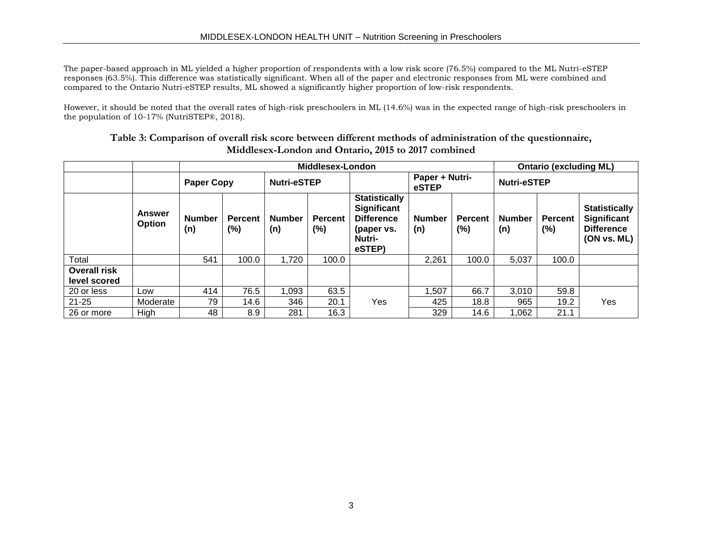The paper-based approach in ML yielded a higher proportion of respondents with a low risk score (76.5%) compared to the ML Nutri-eSTEP responses (63.5%). This difference was statistically significant. When all of the paper and electronic responses from ML were combined and compared to the Ontario Nutri-eSTEP results, ML showed a significantly higher proportion of low-risk respondents.

However, it should be noted that the overall rates of high-risk preschoolers in ML (14.6%) was in the expected range of high-risk preschoolers in the population of 10-17% (NutriSTEP®, 2018).

|                                     |                  | Middlesex-London     |                          |                      |                          |                                                                                                   |                         | <b>Ontario (excluding ML)</b> |                      |                       |                                                                         |
|-------------------------------------|------------------|----------------------|--------------------------|----------------------|--------------------------|---------------------------------------------------------------------------------------------------|-------------------------|-------------------------------|----------------------|-----------------------|-------------------------------------------------------------------------|
|                                     |                  | <b>Paper Copy</b>    |                          | <b>Nutri-eSTEP</b>   |                          |                                                                                                   | Paper + Nutri-<br>eSTEP |                               | <b>Nutri-eSTEP</b>   |                       |                                                                         |
|                                     | Answer<br>Option | <b>Number</b><br>(n) | <b>Percent</b><br>$(\%)$ | <b>Number</b><br>(n) | <b>Percent</b><br>$(\%)$ | <b>Statistically</b><br><b>Significant</b><br><b>Difference</b><br>(paper vs.<br>Nutri-<br>eSTEP) | <b>Number</b><br>(n)    | Percent<br>$(\%)$             | <b>Number</b><br>(n) | <b>Percent</b><br>(%) | <b>Statistically</b><br>Significant<br><b>Difference</b><br>(ON vs. ML) |
| Total                               |                  | 541                  | 100.0                    | 1,720                | 100.0                    |                                                                                                   | 2,261                   | 100.0                         | 5,037                | 100.0                 |                                                                         |
| <b>Overall risk</b><br>level scored |                  |                      |                          |                      |                          |                                                                                                   |                         |                               |                      |                       |                                                                         |
| 20 or less                          | Low              | 414                  | 76.5                     | 1,093                | 63.5                     |                                                                                                   | 1,507                   | 66.7                          | 3,010                | 59.8                  |                                                                         |
| $21 - 25$                           | Moderate         | 79                   | 14.6                     | 346                  | 20.1                     | Yes                                                                                               | 425                     | 18.8                          | 965                  | 19.2                  | Yes                                                                     |
| 26 or more                          | High             | 48                   | 8.9                      | 281                  | 16.3                     |                                                                                                   | 329                     | 14.6                          | 1,062                | 21.1                  |                                                                         |

**Table 3: Comparison of overall risk score between different methods of administration of the questionnaire, Middlesex-London and Ontario, 2015 to 2017 combined**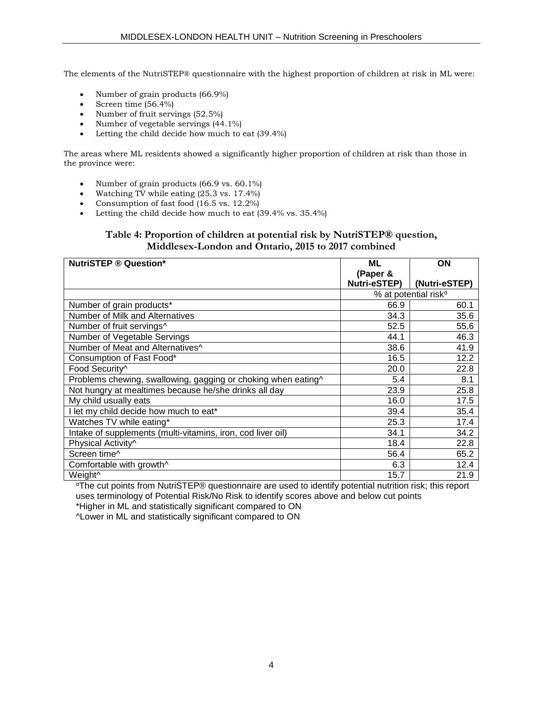The elements of the NutriSTEP® questionnaire with the highest proportion of children at risk in ML were:

- Number of grain products (66.9%)
- Screen time  $(56.4\%)$
- Number of fruit servings (52.5%)
- Number of vegetable servings  $(44.1\%)$
- Letting the child decide how much to eat (39.4%)

The areas where ML residents showed a significantly higher proportion of children at risk than those in the province were:

- Number of grain products  $(66.9 \text{ vs. } 60.1\%)$
- Watching TV while eating  $(25.3 \text{ vs. } 17.4\%)$
- Consumption of fast food  $(16.5 \text{ vs. } 12.2\%)$
- Letting the child decide how much to eat (39.4% vs. 35.4%)

#### **Table 4: Proportion of children at potential risk by NutriSTEP® question, Middlesex-London and Ontario, 2015 to 2017 combined**

| <b>NutriSTEP ® Question*</b>                                  | ML           | ON                               |
|---------------------------------------------------------------|--------------|----------------------------------|
|                                                               | (Paper &     |                                  |
|                                                               | Nutri-eSTEP) | (Nutri-eSTEP)                    |
|                                                               |              | % at potential risk <sup>a</sup> |
| Number of grain products*                                     | 66.9         | 60.1                             |
| Number of Milk and Alternatives                               | 34.3         | 35.6                             |
| Number of fruit servings^                                     | 52.5         | 55.6                             |
| Number of Vegetable Servings                                  | 44.1         | 46.3                             |
| Number of Meat and Alternatives^                              | 38.6         | 41.9                             |
| Consumption of Fast Food*                                     | 16.5         | 12.2                             |
| Food Security^                                                | 20.0         | 22.8                             |
| Problems chewing, swallowing, gagging or choking when eating^ | 5.4          | 8.1                              |
| Not hungry at mealtimes because he/she drinks all day         | 23.9         | 25.8                             |
| My child usually eats                                         | 16.0         | 17.5                             |
| I let my child decide how much to eat*                        | 39.4         | 35.4                             |
| Watches TV while eating*                                      | 25.3         | 17.4                             |
| Intake of supplements (multi-vitamins, iron, cod liver oil)   | 34.1         | 34.2                             |
| Physical Activity^                                            | 18.4         | 22.8                             |
| Screen time^                                                  | 56.4         | 65.2                             |
| Comfortable with growth^                                      | 6.3          | 12.4                             |
| Weight <sup>^</sup>                                           | 15.7         | 21.9                             |

<sup>α</sup>The cut points from NutriSTEP® questionnaire are used to identify potential nutrition risk; this report uses terminology of Potential Risk/No Risk to identify scores above and below cut points

\*Higher in ML and statistically significant compared to ON

^Lower in ML and statistically significant compared to ON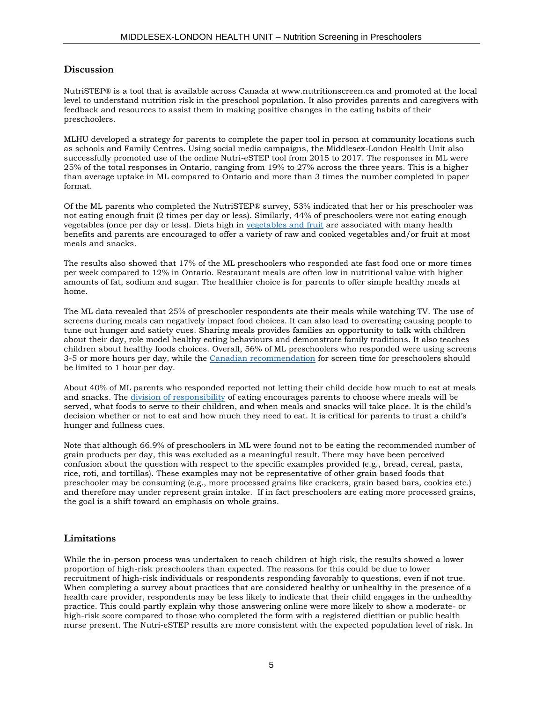#### **[Discussion](file://///mlhu.healthunit.com/mlhudata/SHARED/MLHU/Nutrition/FH220%20HE,HW,%20PA/NutriSTEP/Current/Data%20Analysis/Issues_Identified_NutriSTEP_Data_Analysis_2018.docx)**

NutriSTEP® is a tool that is available across Canada at [www.nutritionscreen.ca](http://www.nutritionscreen.ca/) and promoted at the local level to understand nutrition risk in the preschool population. It also provides parents and caregivers with feedback and resources to assist them in making positive changes in the eating habits of their preschoolers.

MLHU developed a strategy for parents to complete the paper tool in person at community locations such as schools and Family Centres. Using social media campaigns, the Middlesex-London Health Unit also successfully promoted use of the online Nutri-eSTEP tool from 2015 to 2017. The responses in ML were 25% of the total responses in Ontario, ranging from 19% to 27% across the three years. This is a higher than average uptake in ML compared to Ontario and more than 3 times the number completed in paper format.

Of the ML parents who completed the NutriSTEP® survey, 53% indicated that her or his preschooler was not eating enough fruit (2 times per day or less). Similarly, 44% of preschoolers were not eating enough vegetables (once per day or less). Diets high in [vegetables and fruit](https://www.healthunit.com/fruits-and-vegetables) are associated with many health benefits and parents are encouraged to offer a variety of raw and cooked vegetables and/or fruit at most meals and snacks.

The results also showed that 17% of the ML preschoolers who responded ate fast food one or more times per week compared to 12% in Ontario. Restaurant meals are often low in nutritional value with higher amounts of fat, sodium and sugar. The healthier choice is for parents to offer simple healthy meals at home.

The ML data revealed that 25% of preschooler respondents ate their meals while watching TV. The use of screens during meals can negatively impact food choices. It can also lead to overeating causing people to tune out hunger and satiety cues. Sharing meals provides families an opportunity to talk with children about their day, role model healthy eating behaviours and demonstrate family traditions. It also teaches children about healthy foods choices. Overall, 56% of ML preschoolers who responded were using screens 3-5 or more hours per day, while the [Canadian recommendation](https://www.caringforkids.cps.ca/handouts/screen-time-and-young-children) for screen time for preschoolers should be limited to 1 hour per day.

About 40% of ML parents who responded reported not letting their child decide how much to eat at meals and snacks. The [division of responsibility](https://www.ellynsatterinstitute.org/how-to-feed/the-division-of-responsibility-in-feeding/) of eating encourages parents to choose where meals will be served, what foods to serve to their children, and when meals and snacks will take place. It is the child's decision whether or not to eat and how much they need to eat. It is critical for parents to trust a child's hunger and fullness cues.

Note that although 66.9% of preschoolers in ML were found not to be eating the recommended number of grain products per day, this was excluded as a meaningful result. There may have been perceived confusion about the question with respect to the specific examples provided (e.g., bread, cereal, pasta, rice, roti, and tortillas). These examples may not be representative of other grain based foods that preschooler may be consuming (e.g., more processed grains like crackers, grain based bars, cookies etc.) and therefore may under represent grain intake. If in fact preschoolers are eating more processed grains, the goal is a shift toward an emphasis on whole grains.

#### **Limitations**

While the in-person process was undertaken to reach children at high risk, the results showed a lower proportion of high-risk preschoolers than expected. The reasons for this could be due to lower recruitment of high-risk individuals or respondents responding favorably to questions, even if not true. When completing a survey about practices that are considered healthy or unhealthy in the presence of a health care provider, respondents may be less likely to indicate that their child engages in the unhealthy practice. This could partly explain why those answering online were more likely to show a moderate- or high-risk score compared to those who completed the form with a registered dietitian or public health nurse present. The Nutri-eSTEP results are more consistent with the expected population level of risk. In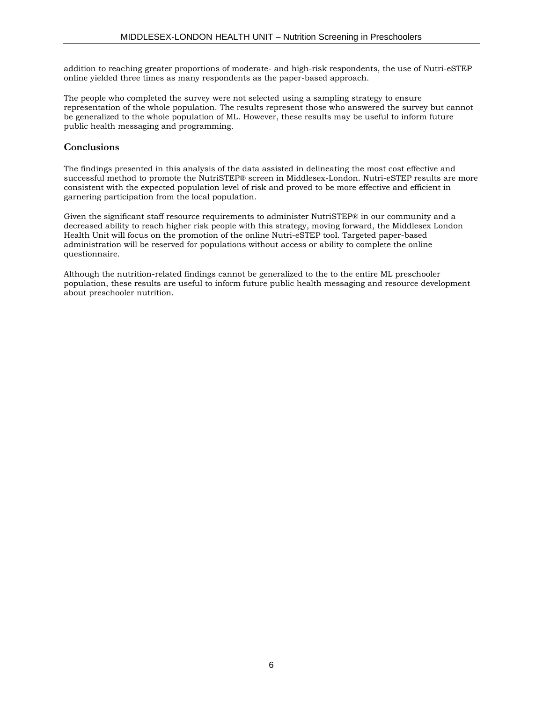addition to reaching greater proportions of moderate- and high-risk respondents, the use of Nutri-eSTEP online yielded three times as many respondents as the paper-based approach.

The people who completed the survey were not selected using a sampling strategy to ensure representation of the whole population. The results represent those who answered the survey but cannot be generalized to the whole population of ML. However, these results may be useful to inform future public health messaging and programming.

#### **Conclusions**

The findings presented in this analysis of the data assisted in delineating the most cost effective and successful method to promote the NutriSTEP® screen in Middlesex-London. Nutri-eSTEP results are more consistent with the expected population level of risk and proved to be more effective and efficient in garnering participation from the local population.

Given the significant staff resource requirements to administer NutriSTEP® in our community and a decreased ability to reach higher risk people with this strategy, moving forward, the Middlesex London Health Unit will focus on the promotion of the online Nutri-eSTEP tool. Targeted paper-based administration will be reserved for populations without access or ability to complete the online questionnaire.

Although the nutrition-related findings cannot be generalized to the to the entire ML preschooler population, these results are useful to inform future public health messaging and resource development about preschooler nutrition.